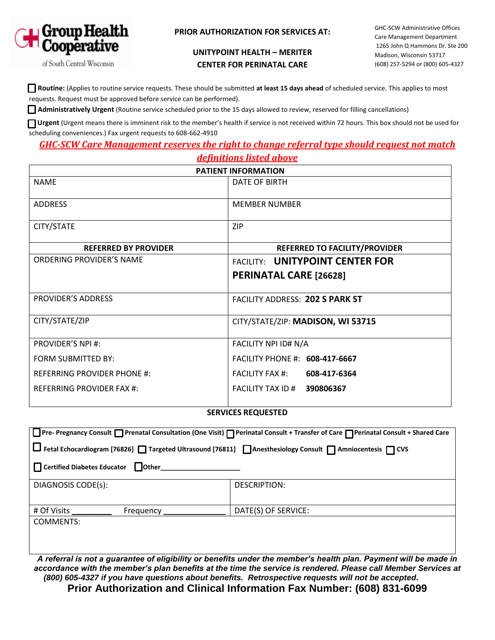

#### **PRIOR AUTHORIZATION FOR SERVICES AT:**

### **UNITYPOINT HEALTH – MERITER CENTER FOR PERINATAL CARE**

GHC-SCW Administrative Offices Care Management Department 1265 John Q Hammons Dr. Ste 200 Madison, Wisconsin 53717 (608) 257-5294 or (800) 605-4327

of South Central Wisconsin

 **Routine:** (Applies to routine service requests. These should be submitted **at least 15 days ahead** of scheduled service. This applies to most requests. Request must be approved before service can be performed).

 **Administratively Urgent** (Routine service scheduled prior to the 15 days allowed to review, reserved for filling cancellations)

**Urgent** (Urgent means there is imminent risk to the member's health if service is not received within 72 hours. This box should not be used for scheduling conveniences.) Fax urgent requests to 608-662-4910

## *GHC-SCW Care Management reserves the right to change referral type should request not match definitions listed above*

| <b>PATIENT INFORMATION</b>         |                                        |
|------------------------------------|----------------------------------------|
| <b>NAME</b>                        | DATE OF BIRTH                          |
| <b>ADDRESS</b>                     | <b>MEMBER NUMBER</b>                   |
| CITY/STATE                         | <b>ZIP</b>                             |
| <b>REFERRED BY PROVIDER</b>        | <b>REFERRED TO FACILITY/PROVIDER</b>   |
| ORDERING PROVIDER'S NAME           | <b>FACILITY: UNITYPOINT CENTER FOR</b> |
|                                    | <b>PERINATAL CARE [26628]</b>          |
| PROVIDER'S ADDRESS                 | FACILITY ADDRESS: 202 S PARK ST        |
| CITY/STATE/ZIP                     | CITY/STATE/ZIP: MADISON, WI 53715      |
| <b>PROVIDER'S NPI #:</b>           | FACILITY NPI ID# N/A                   |
| <b>FORM SUBMITTED BY:</b>          | FACILITY PHONE #: 608-417-6667         |
| <b>REFERRING PROVIDER PHONE #:</b> | <b>FACILITY FAX #:</b><br>608-417-6364 |
| <b>REFERRING PROVIDER FAX #:</b>   | FACILITY TAX ID # 390806367            |

#### **SERVICES REQUESTED**

| Pre-Pregnancy Consult □ Prenatal Consultation (One Visit) □ Perinatal Consult + Transfer of Care □ Perinatal Consult + Shared Care |                     |  |
|------------------------------------------------------------------------------------------------------------------------------------|---------------------|--|
| □ Fetal Echocardiogram [76826] □ Targeted Ultrasound [76811] □ Anesthesiology Consult □ Amniocentesis □ CVS                        |                     |  |
| Certified Diabetes Educator Dother                                                                                                 |                     |  |
| DIAGNOSIS CODE(s):                                                                                                                 | DESCRIPTION:        |  |
| # Of Visits<br>Frequency                                                                                                           | DATE(S) OF SERVICE: |  |
| <b>COMMENTS:</b>                                                                                                                   |                     |  |

*A referral is not a guarantee of eligibility or benefits under the member's health plan. Payment will be made in*  accordance with the member's plan benefits at the time the service is rendered. Please call Member Services at *(800) 605-4327 if you have questions about benefits. Retrospective requests will not be accepted.* **Prior Authorization and Clinical Information Fax Number: (608) 831-6099**